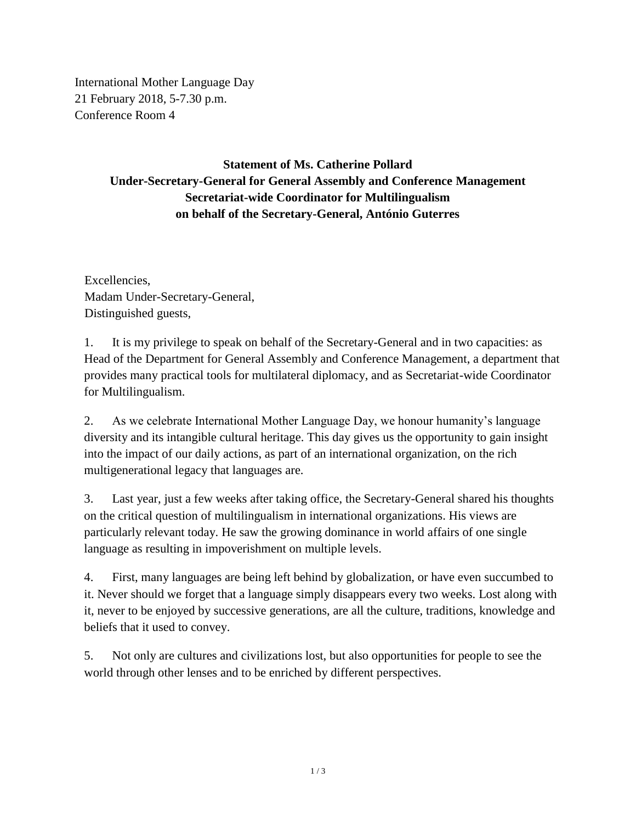International Mother Language Day 21 February 2018, 5-7.30 p.m. Conference Room 4

## **Statement of Ms. Catherine Pollard Under-Secretary-General for General Assembly and Conference Management Secretariat-wide Coordinator for Multilingualism on behalf of the Secretary-General, António Guterres**

Excellencies, Madam Under-Secretary-General, Distinguished guests,

1. It is my privilege to speak on behalf of the Secretary-General and in two capacities: as Head of the Department for General Assembly and Conference Management, a department that provides many practical tools for multilateral diplomacy, and as Secretariat-wide Coordinator for Multilingualism.

2. As we celebrate International Mother Language Day, we honour humanity's language diversity and its intangible cultural heritage. This day gives us the opportunity to gain insight into the impact of our daily actions, as part of an international organization, on the rich multigenerational legacy that languages are.

3. Last year, just a few weeks after taking office, the Secretary-General shared his thoughts on the critical question of multilingualism in international organizations. His views are particularly relevant today. He saw the growing dominance in world affairs of one single language as resulting in impoverishment on multiple levels.

4. First, many languages are being left behind by globalization, or have even succumbed to it. Never should we forget that a language simply disappears every two weeks. Lost along with it, never to be enjoyed by successive generations, are all the culture, traditions, knowledge and beliefs that it used to convey.

5. Not only are cultures and civilizations lost, but also opportunities for people to see the world through other lenses and to be enriched by different perspectives.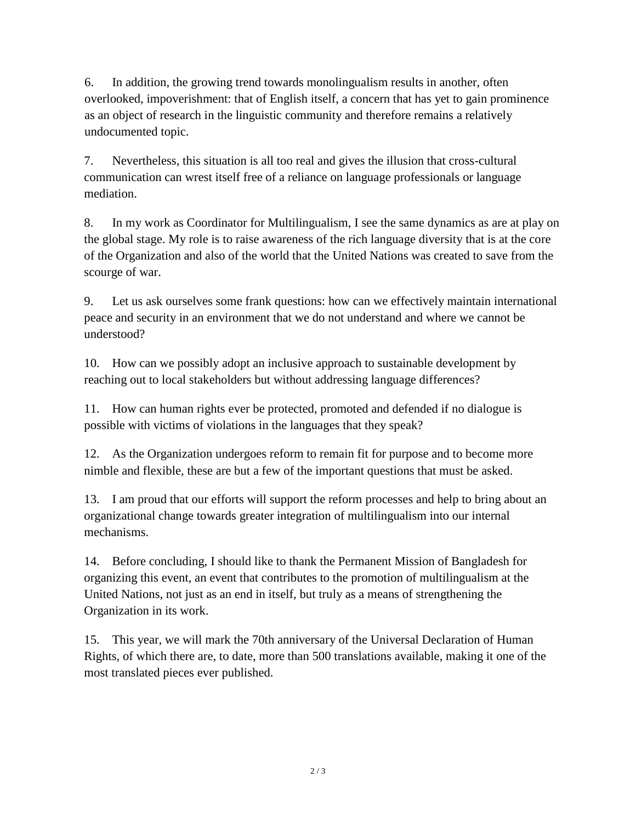6. In addition, the growing trend towards monolingualism results in another, often overlooked, impoverishment: that of English itself, a concern that has yet to gain prominence as an object of research in the linguistic community and therefore remains a relatively undocumented topic.

7. Nevertheless, this situation is all too real and gives the illusion that cross-cultural communication can wrest itself free of a reliance on language professionals or language mediation.

8. In my work as Coordinator for Multilingualism, I see the same dynamics as are at play on the global stage. My role is to raise awareness of the rich language diversity that is at the core of the Organization and also of the world that the United Nations was created to save from the scourge of war.

9. Let us ask ourselves some frank questions: how can we effectively maintain international peace and security in an environment that we do not understand and where we cannot be understood?

10. How can we possibly adopt an inclusive approach to sustainable development by reaching out to local stakeholders but without addressing language differences?

11. How can human rights ever be protected, promoted and defended if no dialogue is possible with victims of violations in the languages that they speak?

12. As the Organization undergoes reform to remain fit for purpose and to become more nimble and flexible, these are but a few of the important questions that must be asked.

13. I am proud that our efforts will support the reform processes and help to bring about an organizational change towards greater integration of multilingualism into our internal mechanisms.

14. Before concluding, I should like to thank the Permanent Mission of Bangladesh for organizing this event, an event that contributes to the promotion of multilingualism at the United Nations, not just as an end in itself, but truly as a means of strengthening the Organization in its work.

15. This year, we will mark the 70th anniversary of the Universal Declaration of Human Rights, of which there are, to date, more than 500 translations available, making it one of the most translated pieces ever published.